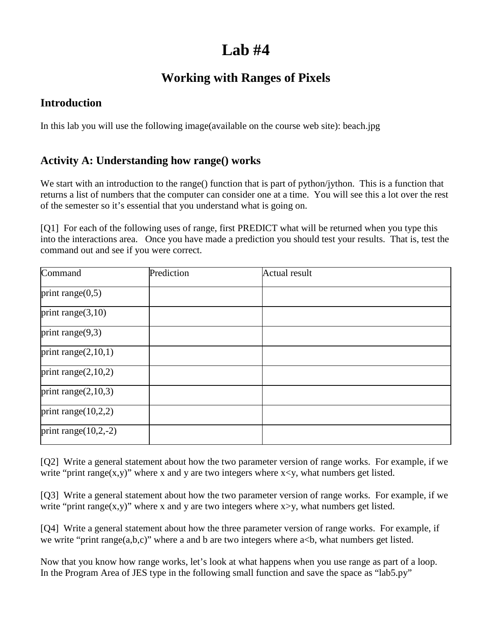# **Lab #4**

# **Working with Ranges of Pixels**

#### **Introduction**

In this lab you will use the following image(available on the course web site): beach.jpg

## **Activity A: Understanding how range() works**

We start with an introduction to the range() function that is part of python/jython. This is a function that returns a list of numbers that the computer can consider one at a time. You will see this a lot over the rest of the semester so it's essential that you understand what is going on.

[Q1] For each of the following uses of range, first PREDICT what will be returned when you type this into the interactions area. Once you have made a prediction you should test your results. That is, test the command out and see if you were correct.

| Command                 | Prediction | <b>Actual result</b> |  |
|-------------------------|------------|----------------------|--|
| print range $(0,5)$     |            |                      |  |
| print range $(3,10)$    |            |                      |  |
| print range $(9,3)$     |            |                      |  |
| print range $(2,10,1)$  |            |                      |  |
| print range $(2,10,2)$  |            |                      |  |
| print range $(2,10,3)$  |            |                      |  |
| print range $(10,2,2)$  |            |                      |  |
| print range $(10,2,-2)$ |            |                      |  |

[Q2] Write a general statement about how the two parameter version of range works. For example, if we write "print range(x,y)" where x and y are two integers where  $x \le y$ , what numbers get listed.

[Q3] Write a general statement about how the two parameter version of range works. For example, if we write "print range(x,y)" where x and y are two integers where  $x>y$ , what numbers get listed.

[Q4] Write a general statement about how the three parameter version of range works. For example, if we write "print range $(a,b,c)$ " where a and b are two integers where  $a < b$ , what numbers get listed.

Now that you know how range works, let's look at what happens when you use range as part of a loop. In the Program Area of JES type in the following small function and save the space as "lab5.py"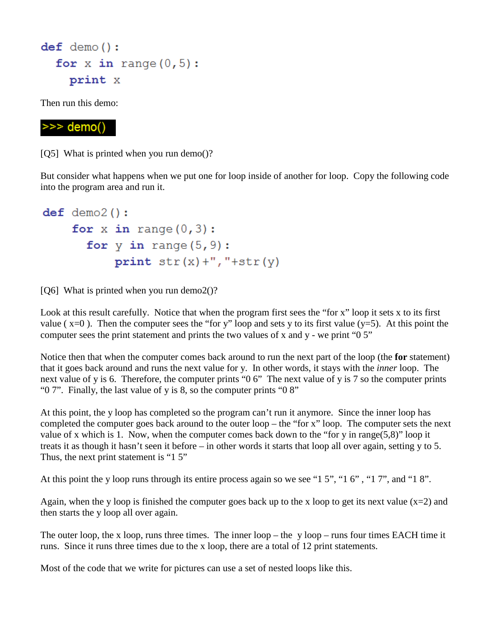```
def demo():for x in range (0, 5):
  print x
```
Then run this demo:

## $\gg$  demo()

[Q5] What is printed when you run demo()?

But consider what happens when we put one for loop inside of another for loop. Copy the following code into the program area and run it.

```
def demo2():
  for x in range (0, 3):
    for y in range (5, 9):
         print str(x) + ", "+str(y)
```
[ $Q6$ ] What is printed when you run demo2()?

Look at this result carefully. Notice that when the program first sees the "for x" loop it sets x to its first value ( $x=0$ ). Then the computer sees the "for y" loop and sets y to its first value ( $y=5$ ). At this point the computer sees the print statement and prints the two values of x and y - we print "0 5"

Notice then that when the computer comes back around to run the next part of the loop (the **for** statement) that it goes back around and runs the next value for y. In other words, it stays with the *inner* loop. The next value of y is 6. Therefore, the computer prints "0 6" The next value of y is 7 so the computer prints " $0$  7". Finally, the last value of y is 8, so the computer prints " $0$  8"

At this point, the y loop has completed so the program can't run it anymore. Since the inner loop has completed the computer goes back around to the outer loop – the "for x" loop. The computer sets the next value of x which is 1. Now, when the computer comes back down to the "for y in range(5,8)" loop it treats it as though it hasn't seen it before – in other words it starts that loop all over again, setting y to 5. Thus, the next print statement is "1 5"

At this point the y loop runs through its entire process again so we see "1 5", "1 6" , "1 7", and "1 8".

Again, when the y loop is finished the computer goes back up to the x loop to get its next value  $(x=2)$  and then starts the y loop all over again.

The outer loop, the x loop, runs three times. The inner  $loop$  – the y loop – runs four times EACH time it runs. Since it runs three times due to the x loop, there are a total of 12 print statements.

Most of the code that we write for pictures can use a set of nested loops like this.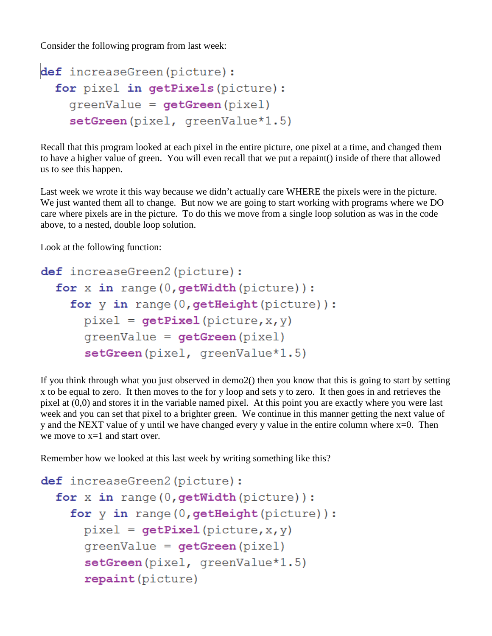Consider the following program from last week:

```
def increaseGreen(picture):
for pixel in getPixels (picture) :
  greenValue = getGreen(pixel)
  setGreen (pixel, greenValue*1.5)
```
Recall that this program looked at each pixel in the entire picture, one pixel at a time, and changed them to have a higher value of green. You will even recall that we put a repaint() inside of there that allowed us to see this happen.

Last week we wrote it this way because we didn't actually care WHERE the pixels were in the picture. We just wanted them all to change. But now we are going to start working with programs where we DO care where pixels are in the picture. To do this we move from a single loop solution as was in the code above, to a nested, double loop solution.

Look at the following function:

```
def increaseGreen2(picture):
for x in range (0, \text{getWidth}(picture)):
  for y in range (0, getHeight (picture)):
    pixel = getFixed(picture, x, y)greenValue = getGreen(pixel)setGreen(pixel, greenValue*1.5)
```
If you think through what you just observed in demo2() then you know that this is going to start by setting x to be equal to zero. It then moves to the for y loop and sets y to zero. It then goes in and retrieves the pixel at (0,0) and stores it in the variable named pixel. At this point you are exactly where you were last week and you can set that pixel to a brighter green. We continue in this manner getting the next value of y and the NEXT value of y until we have changed every y value in the entire column where  $x=0$ . Then we move to x=1 and start over.

Remember how we looked at this last week by writing something like this?

```
def increaseGreen2(picture):
for x in range (0, \text{qetWidth}(picture)):
  for y in range (0, getHeight (picture)):
    pixel = getpixel(picture, x, y)greenValue = getGreen(pixel)setGreen(pixel, greenValue*1.5)
    repaint (picture)
```